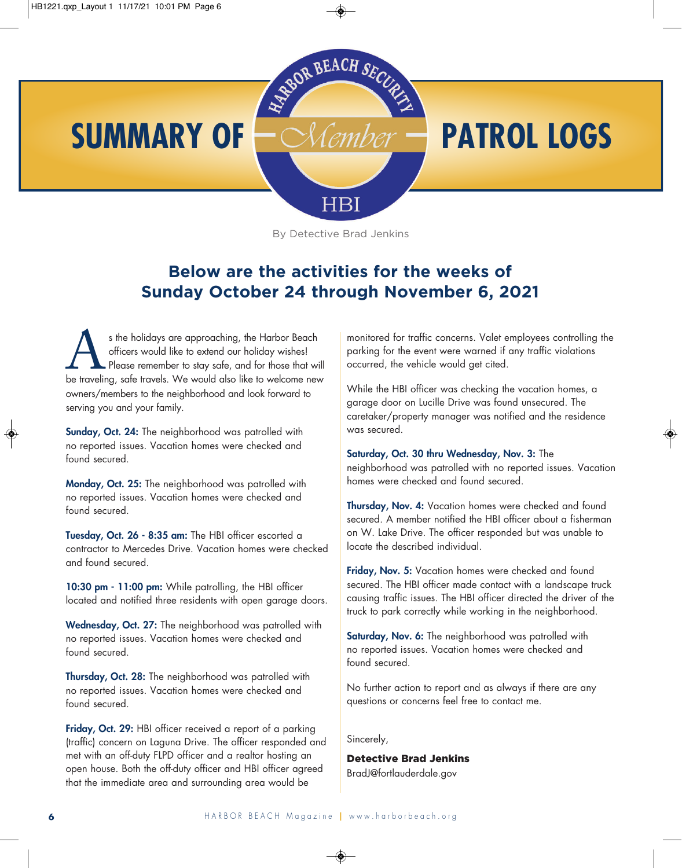

By Detective Brad Jenkins

### **Below are the activities for the weeks of Sunday October 24 through November 6, 2021**

s the holidays are approaching, the Harbor Beach<br>officers would like to extend our holiday wishes!<br>Please remember to stay safe, and for those that will<br>be traveling, safe travels. We would also like to welcome new officers would like to extend our holiday wishes! Please remember to stay safe, and for those that will owners/members to the neighborhood and look forward to serving you and your family.

**Sunday, Oct. 24:** The neighborhood was patrolled with no reported issues. Vacation homes were checked and found secured.

**Monday, Oct. 25:** The neighborhood was patrolled with no reported issues. Vacation homes were checked and found secured.

**Tuesday, Oct. 26 - 8:35 am:** The HBI officer escorted a contractor to Mercedes Drive. Vacation homes were checked and found secured.

**10:30 pm - 11:00 pm:** While patrolling, the HBI officer located and notified three residents with open garage doors.

**Wednesday, Oct. 27:** The neighborhood was patrolled with no reported issues. Vacation homes were checked and found secured.

**Thursday, Oct. 28:** The neighborhood was patrolled with no reported issues. Vacation homes were checked and found secured.

**Friday, Oct. 29:** HBI officer received a report of a parking (traffic) concern on Laguna Drive. The officer responded and met with an off-duty FLPD officer and a realtor hosting an open house. Both the off-duty officer and HBI officer agreed that the immediate area and surrounding area would be

monitored for traffic concerns. Valet employees controlling the parking for the event were warned if any traffic violations occurred, the vehicle would get cited.

While the HBI officer was checking the vacation homes, a garage door on Lucille Drive was found unsecured. The caretaker/property manager was notified and the residence was secured.

**Saturday, Oct. 30 thru Wednesday, Nov. 3:** The neighborhood was patrolled with no reported issues. Vacation homes were checked and found secured.

**Thursday, Nov. 4:** Vacation homes were checked and found secured. A member notified the HBI officer about a fisherman on W. Lake Drive. The officer responded but was unable to locate the described individual.

**Friday, Nov. 5:** Vacation homes were checked and found secured. The HBI officer made contact with a landscape truck causing traffic issues. The HBI officer directed the driver of the truck to park correctly while working in the neighborhood.

**Saturday, Nov. 6:** The neighborhood was patrolled with no reported issues. Vacation homes were checked and found secured.

No further action to report and as always if there are any questions or concerns feel free to contact me.

Sincerely,

Detective Brad Jenkins BradJ@fortlauderdale.gov